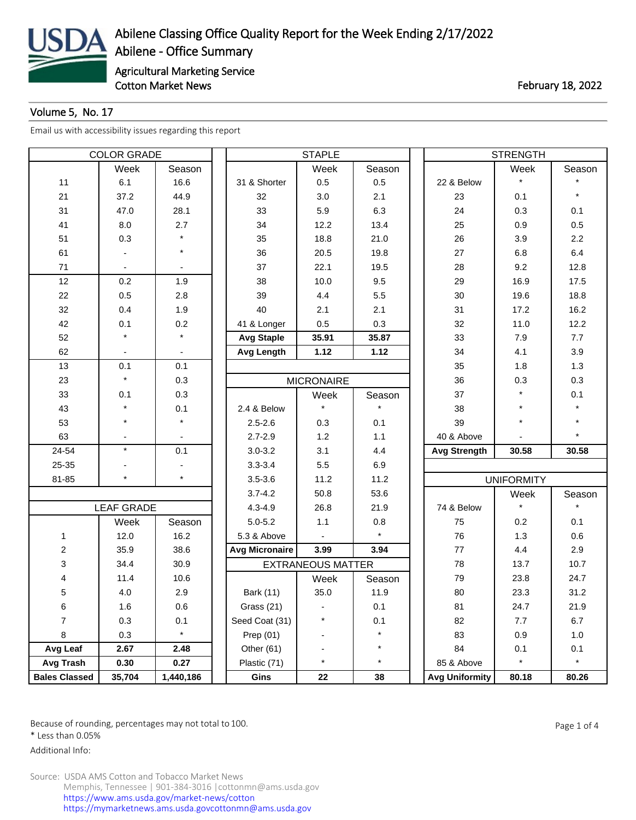

## Volume 5, No. 17

[Email us with accessibility issues regarding this report](mailto:mars@ams.usda.gov)

| <b>COLOR GRADE</b>      |                   |           |                       | <b>STAPLE</b>            |         | <b>STRENGTH</b>       |                   |         |  |  |
|-------------------------|-------------------|-----------|-----------------------|--------------------------|---------|-----------------------|-------------------|---------|--|--|
|                         | Week              | Season    |                       | Week                     | Season  |                       | Week              | Season  |  |  |
| 11                      | 6.1               | 16.6      | 31 & Shorter          | 0.5                      | 0.5     | 22 & Below            | $\star$           |         |  |  |
| 21                      | 37.2              | 44.9      | 32                    | 3.0                      | 2.1     | 23                    | 0.1               | $\star$ |  |  |
| 31                      | 47.0              | 28.1      | 33                    | 5.9                      | 6.3     | 24                    | 0.3               | 0.1     |  |  |
| 41                      | 8.0               | 2.7       | 34                    | 12.2                     | 13.4    | 25                    | 0.9               | 0.5     |  |  |
| 51                      | 0.3               |           | 35                    | 18.8                     | 21.0    | 26                    | 3.9               | 2.2     |  |  |
| 61                      |                   | $\star$   | 36                    | 20.5                     | 19.8    | 27                    | 6.8               | 6.4     |  |  |
| 71                      |                   |           | 37                    | 22.1                     | 19.5    | 28                    | 9.2               | 12.8    |  |  |
| 12                      | 0.2               | 1.9       | 38                    | 10.0                     | 9.5     | 29                    | 16.9              | 17.5    |  |  |
| 22                      | 0.5               | 2.8       | 39                    | 4.4                      | 5.5     | 30                    | 19.6              | 18.8    |  |  |
| 32                      | 0.4               | 1.9       | 40                    | 2.1                      | 2.1     | 31                    | 17.2              | 16.2    |  |  |
| 42                      | 0.1               | 0.2       | 41 & Longer           | 0.5                      | 0.3     | 32                    | 11.0              | 12.2    |  |  |
| 52                      |                   | $\star$   | <b>Avg Staple</b>     | 35.91                    | 35.87   | 33                    | 7.9               | 7.7     |  |  |
| 62                      |                   |           | <b>Avg Length</b>     | 1.12                     | 1.12    | 34                    | 4.1               | 3.9     |  |  |
| 13                      | 0.1               | 0.1       |                       |                          |         | 35                    | 1.8               | 1.3     |  |  |
| 23                      | $\star$           | 0.3       |                       | <b>MICRONAIRE</b>        |         | 36                    | 0.3               | 0.3     |  |  |
| 33                      | 0.1               | 0.3       |                       | Week                     | Season  | 37                    | $\star$           | 0.1     |  |  |
| 43                      |                   | 0.1       | 2.4 & Below           |                          |         | 38                    | $\star$           |         |  |  |
| 53                      |                   |           | $2.5 - 2.6$           | 0.3                      | 0.1     | 39                    | $\star$           |         |  |  |
| 63                      |                   |           | $2.7 - 2.9$           | 1.2                      | 1.1     | 40 & Above            |                   |         |  |  |
| 24-54                   | $\star$           | 0.1       | $3.0 - 3.2$           | 3.1                      | 4.4     | <b>Avg Strength</b>   | 30.58             | 30.58   |  |  |
| 25-35                   |                   |           | $3.3 - 3.4$           | 5.5                      | 6.9     |                       |                   |         |  |  |
| 81-85                   | $\star$           | $\star$   | $3.5 - 3.6$           | 11.2                     | 11.2    |                       | <b>UNIFORMITY</b> |         |  |  |
|                         |                   |           | $3.7 - 4.2$           | 50.8                     | 53.6    |                       | Week              | Season  |  |  |
|                         | <b>LEAF GRADE</b> |           | $4.3 - 4.9$           | 26.8                     | 21.9    | 74 & Below            | $\star$           |         |  |  |
|                         | Week              | Season    | $5.0 - 5.2$           | 1.1                      | 0.8     | 75                    | 0.2               | 0.1     |  |  |
| $\mathbf{1}$            | 12.0              | 16.2      | 5.3 & Above           |                          | $\star$ | 76                    | 1.3               | 0.6     |  |  |
| $\overline{\mathbf{c}}$ | 35.9              | 38.6      | <b>Avg Micronaire</b> | 3.99                     | 3.94    | 77                    | 4.4               | 2.9     |  |  |
| 3                       | 34.4              | 30.9      |                       | <b>EXTRANEOUS MATTER</b> |         | 78                    | 13.7              | 10.7    |  |  |
| 4                       | 11.4              | 10.6      |                       | Week                     | Season  | 79                    | 23.8              | 24.7    |  |  |
| 5                       | 4.0               | 2.9       | Bark (11)             | 35.0                     | 11.9    | 80                    | 23.3              | 31.2    |  |  |
| 6                       | 1.6               | 0.6       | Grass (21)            |                          | 0.1     | 81                    | 24.7              | 21.9    |  |  |
| $\overline{7}$          | 0.3               | 0.1       | Seed Coat (31)        | $\star$                  | 0.1     | 82                    | 7.7               | 6.7     |  |  |
| 8                       | 0.3               | $\star$   | Prep $(01)$           |                          | $\star$ | 83                    | 0.9               | 1.0     |  |  |
| Avg Leaf                | 2.67              | 2.48      | Other (61)            |                          | $\star$ | 84                    | 0.1               | 0.1     |  |  |
| Avg Trash               | 0.30              | 0.27      | Plastic (71)          | $\star$                  | $\star$ | 85 & Above            | $\star$           | $\star$ |  |  |
| <b>Bales Classed</b>    | 35,704            | 1,440,186 | Gins                  | 22                       | 38      | <b>Avg Uniformity</b> | 80.18             | 80.26   |  |  |

Because of rounding, percentages may not total to 100. And the set of the set of 4 and the Page 1 of 4

\* Less than 0.05%

Additional Info: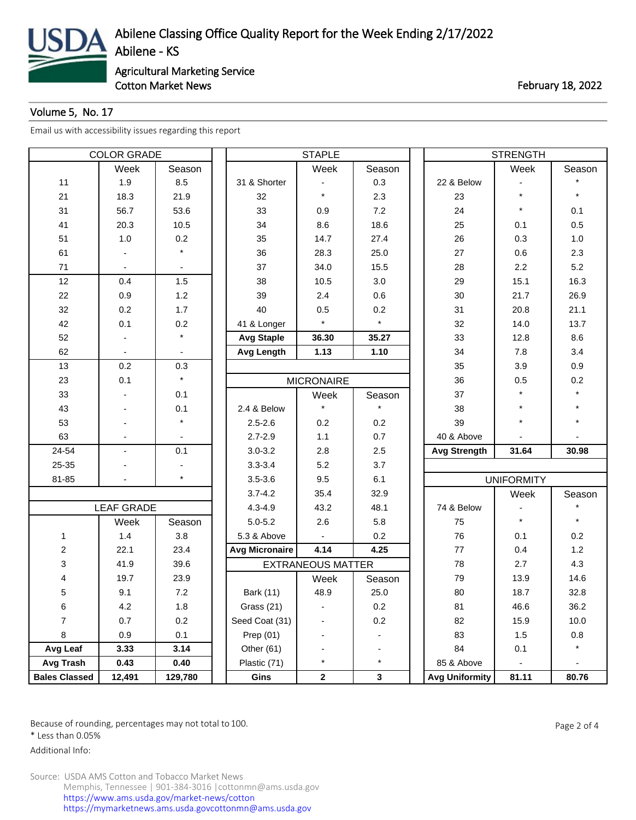

Cotton Market News **February 18, 2022** 

## Volume 5, No. 17

[Email us with accessibility issues regarding this report](mailto:mars@ams.usda.gov)

| <b>COLOR GRADE</b>      |                   |                | <b>STAPLE</b>         |                          |         |  | <b>STRENGTH</b>       |                          |         |  |
|-------------------------|-------------------|----------------|-----------------------|--------------------------|---------|--|-----------------------|--------------------------|---------|--|
|                         | Week              | Season         |                       | Week                     | Season  |  |                       | Week                     | Season  |  |
| 11                      | 1.9               | 8.5            | 31 & Shorter          |                          | 0.3     |  | 22 & Below            |                          |         |  |
| 21                      | 18.3              | 21.9           | 32                    | $\star$                  | 2.3     |  | 23                    | $\star$                  | $\star$ |  |
| 31                      | 56.7              | 53.6           | 33                    | 0.9                      | 7.2     |  | 24                    | $\star$                  | 0.1     |  |
| 41                      | 20.3              | 10.5           | 34                    | 8.6                      | 18.6    |  | 25                    | 0.1                      | 0.5     |  |
| 51                      | 1.0               | 0.2            | 35                    | 14.7                     | 27.4    |  | 26                    | 0.3                      | 1.0     |  |
| 61                      |                   | $\star$        | 36                    | 28.3                     | 25.0    |  | 27                    | 0.6                      | 2.3     |  |
| 71                      |                   | $\blacksquare$ | 37                    | 34.0                     | 15.5    |  | 28                    | 2.2                      | 5.2     |  |
| 12                      | 0.4               | 1.5            | 38                    | 10.5                     | 3.0     |  | 29                    | 15.1                     | 16.3    |  |
| 22                      | 0.9               | 1.2            | 39                    | 2.4                      | 0.6     |  | 30                    | 21.7                     | 26.9    |  |
| 32                      | 0.2               | 1.7            | 40                    | 0.5                      | 0.2     |  | 31                    | 20.8                     | 21.1    |  |
| 42                      | 0.1               | 0.2            | 41 & Longer           | $\star$                  | $\star$ |  | 32                    | 14.0                     | 13.7    |  |
| 52                      |                   | $\star$        | <b>Avg Staple</b>     | 36.30                    | 35.27   |  | 33                    | 12.8                     | 8.6     |  |
| 62                      |                   |                | Avg Length            | 1.13                     | 1.10    |  | 34                    | 7.8                      | 3.4     |  |
| 13                      | 0.2               | 0.3            |                       |                          |         |  | 35                    | 3.9                      | 0.9     |  |
| 23                      | 0.1               | $\star$        |                       | <b>MICRONAIRE</b>        |         |  | 36                    | 0.5                      | 0.2     |  |
| 33                      |                   | 0.1            |                       | Week                     | Season  |  | 37                    | $\star$                  |         |  |
| 43                      |                   | 0.1            | 2.4 & Below           |                          |         |  | 38                    | $\star$                  |         |  |
| 53                      |                   | $\star$        | $2.5 - 2.6$           | 0.2                      | 0.2     |  | 39                    | $\star$                  |         |  |
| 63                      |                   |                | $2.7 - 2.9$           | 1.1                      | 0.7     |  | 40 & Above            |                          |         |  |
| 24-54                   | ä,                | 0.1            | $3.0 - 3.2$           | 2.8                      | 2.5     |  | <b>Avg Strength</b>   | 31.64                    | 30.98   |  |
| 25-35                   |                   |                | $3.3 - 3.4$           | 5.2                      | 3.7     |  |                       |                          |         |  |
| 81-85                   |                   | $\star$        | $3.5 - 3.6$           | 9.5                      | 6.1     |  |                       | <b>UNIFORMITY</b>        |         |  |
|                         |                   |                | $3.7 - 4.2$           | 35.4                     | 32.9    |  |                       | Week                     | Season  |  |
|                         | <b>LEAF GRADE</b> |                | $4.3 - 4.9$           | 43.2                     | 48.1    |  | 74 & Below            |                          |         |  |
|                         | Week              | Season         | $5.0 - 5.2$           | 2.6                      | 5.8     |  | 75                    | $\star$                  | $\star$ |  |
| 1                       | 1.4               | 3.8            | 5.3 & Above           |                          | 0.2     |  | 76                    | 0.1                      | 0.2     |  |
| $\overline{\mathbf{c}}$ | 22.1              | 23.4           | <b>Avg Micronaire</b> | 4.14                     | 4.25    |  | 77                    | 0.4                      | 1.2     |  |
| 3                       | 41.9              | 39.6           |                       | <b>EXTRANEOUS MATTER</b> |         |  | 78                    | 2.7                      | 4.3     |  |
| 4                       | 19.7              | 23.9           |                       | Week                     | Season  |  | 79                    | 13.9                     | 14.6    |  |
| 5                       | 9.1               | 7.2            | <b>Bark (11)</b>      | 48.9                     | 25.0    |  | 80                    | 18.7                     | 32.8    |  |
| 6                       | 4.2               | 1.8            | Grass (21)            |                          | 0.2     |  | 81                    | 46.6                     | 36.2    |  |
| $\overline{7}$          | 0.7               | 0.2            | Seed Coat (31)        |                          | 0.2     |  | 82                    | 15.9                     | 10.0    |  |
| 8                       | 0.9               | 0.1            | Prep $(01)$           |                          |         |  | 83                    | 1.5                      | 0.8     |  |
| Avg Leaf                | 3.33              | 3.14           | Other (61)            |                          |         |  | 84                    | 0.1                      |         |  |
| Avg Trash               | 0.43              | 0.40           | Plastic (71)          | $\star$                  | $\star$ |  | 85 & Above            | $\overline{\phantom{0}}$ |         |  |
| <b>Bales Classed</b>    | 12,491            | 129,780        | Gins                  | $\mathbf{2}$             | 3       |  | <b>Avg Uniformity</b> | 81.11                    | 80.76   |  |

Because of rounding, percentages may not total to 100. And the set of the set of 4 and the Page 2 of 4

\* Less than 0.05%

Additional Info: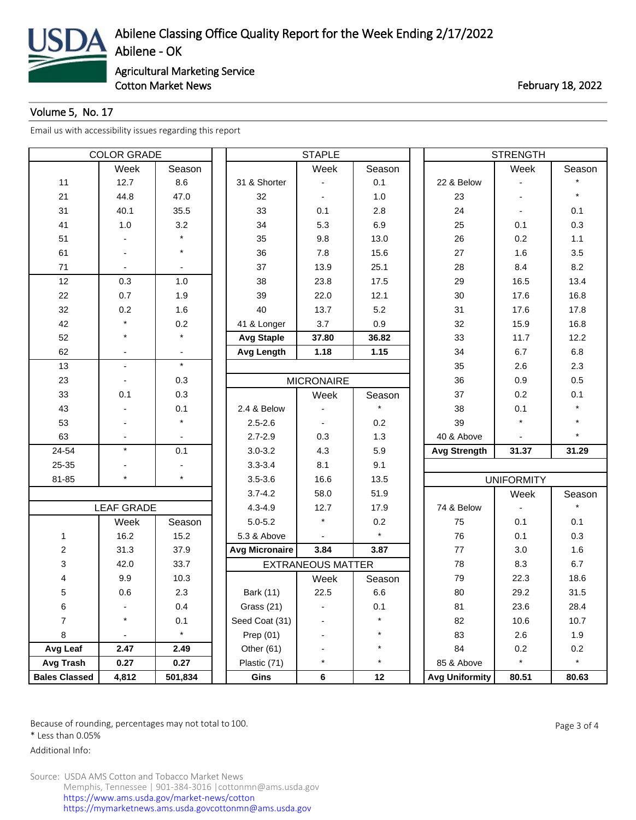

Cotton Market News **February 18, 2022** 

## Volume 5, No. 17

[Email us with accessibility issues regarding this report](mailto:mars@ams.usda.gov)

| <b>COLOR GRADE</b>   |                   |         | <b>STAPLE</b>     |                          |         |  | <b>STRENGTH</b>       |                   |         |  |
|----------------------|-------------------|---------|-------------------|--------------------------|---------|--|-----------------------|-------------------|---------|--|
|                      | Week              | Season  |                   | Week                     | Season  |  |                       | Week              | Season  |  |
| 11                   | 12.7              | 8.6     | 31 & Shorter      |                          | 0.1     |  | 22 & Below            |                   |         |  |
| 21                   | 44.8              | 47.0    | 32                |                          | 1.0     |  | 23                    |                   | $\star$ |  |
| 31                   | 40.1              | 35.5    | 33                | 0.1                      | 2.8     |  | 24                    |                   | 0.1     |  |
| 41                   | 1.0               | 3.2     | 34                | 5.3                      | 6.9     |  | 25                    | 0.1               | 0.3     |  |
| 51                   |                   |         | 35                | 9.8                      | 13.0    |  | 26                    | 0.2               | 1.1     |  |
| 61                   | ٠                 | $\star$ | 36                | 7.8                      | 15.6    |  | 27                    | 1.6               | 3.5     |  |
| 71                   |                   |         | 37                | 13.9                     | 25.1    |  | 28                    | 8.4               | 8.2     |  |
| 12                   | 0.3               | $1.0$   | 38                | 23.8                     | 17.5    |  | 29                    | 16.5              | 13.4    |  |
| 22                   | 0.7               | 1.9     | 39                | 22.0                     | 12.1    |  | 30                    | 17.6              | 16.8    |  |
| 32                   | 0.2               | 1.6     | 40                | 13.7                     | 5.2     |  | 31                    | 17.6              | 17.8    |  |
| 42                   | $\star$           | 0.2     | 41 & Longer       | 3.7                      | 0.9     |  | 32                    | 15.9              | 16.8    |  |
| 52                   | $\star$           | $\star$ | <b>Avg Staple</b> | 37.80                    | 36.82   |  | 33                    | 11.7              | 12.2    |  |
| 62                   |                   |         | <b>Avg Length</b> | 1.18                     | 1.15    |  | 34                    | 6.7               | 6.8     |  |
| 13                   | $\blacksquare$    | $\star$ |                   |                          |         |  | 35                    | 2.6               | 2.3     |  |
| 23                   |                   | 0.3     |                   | <b>MICRONAIRE</b>        |         |  | 36                    | 0.9               | 0.5     |  |
| 33                   | 0.1               | 0.3     |                   | Week                     | Season  |  | 37                    | 0.2               | 0.1     |  |
| 43                   |                   | 0.1     | 2.4 & Below       |                          |         |  | 38                    | 0.1               |         |  |
| 53                   |                   | $\star$ | $2.5 - 2.6$       |                          | 0.2     |  | 39                    |                   |         |  |
| 63                   |                   |         | $2.7 - 2.9$       | 0.3                      | 1.3     |  | 40 & Above            |                   |         |  |
| 24-54                | $\star$           | 0.1     | $3.0 - 3.2$       | 4.3                      | 5.9     |  | <b>Avg Strength</b>   | 31.37             | 31.29   |  |
| 25-35                |                   |         | $3.3 - 3.4$       | 8.1                      | 9.1     |  |                       |                   |         |  |
| 81-85                | $\star$           | $\star$ | $3.5 - 3.6$       | 16.6                     | 13.5    |  |                       | <b>UNIFORMITY</b> |         |  |
|                      |                   |         | $3.7 - 4.2$       | 58.0                     | 51.9    |  |                       | Week              | Season  |  |
|                      | <b>LEAF GRADE</b> |         | $4.3 - 4.9$       | 12.7                     | 17.9    |  | 74 & Below            |                   |         |  |
|                      | Week              | Season  | $5.0 - 5.2$       |                          | 0.2     |  | 75                    | 0.1               | 0.1     |  |
| 1                    | 16.2              | 15.2    | 5.3 & Above       |                          | $\star$ |  | 76                    | 0.1               | 0.3     |  |
| $\overline{c}$       | 31.3              | 37.9    | Avg Micronaire    | 3.84                     | 3.87    |  | 77                    | 3.0               | 1.6     |  |
| 3                    | 42.0              | 33.7    |                   | <b>EXTRANEOUS MATTER</b> |         |  | 78                    | 8.3               | 6.7     |  |
| 4                    | 9.9               | 10.3    |                   | Week                     | Season  |  | 79                    | 22.3              | 18.6    |  |
| 5                    | 0.6               | 2.3     | Bark (11)         | 22.5                     | 6.6     |  | 80                    | 29.2              | 31.5    |  |
| 6                    |                   | 0.4     | Grass (21)        |                          | 0.1     |  | 81                    | 23.6              | 28.4    |  |
| $\overline{7}$       | $\star$           | 0.1     | Seed Coat (31)    |                          | $\star$ |  | 82                    | 10.6              | 10.7    |  |
| 8                    |                   | $\star$ | Prep (01)         |                          |         |  | 83                    | 2.6               | 1.9     |  |
| Avg Leaf             | 2.47              | 2.49    | Other (61)        |                          | $\star$ |  | 84                    | 0.2               | 0.2     |  |
| Avg Trash            | 0.27              | 0.27    | Plastic (71)      | $\star$                  | $\star$ |  | 85 & Above            | $\star$           | $\star$ |  |
| <b>Bales Classed</b> | 4,812             | 501,834 | Gins              | 6                        | 12      |  | <b>Avg Uniformity</b> | 80.51             | 80.63   |  |

Because of rounding, percentages may not total to 100. And the set of the set of the Page 3 of 4

\* Less than 0.05%

Additional Info: